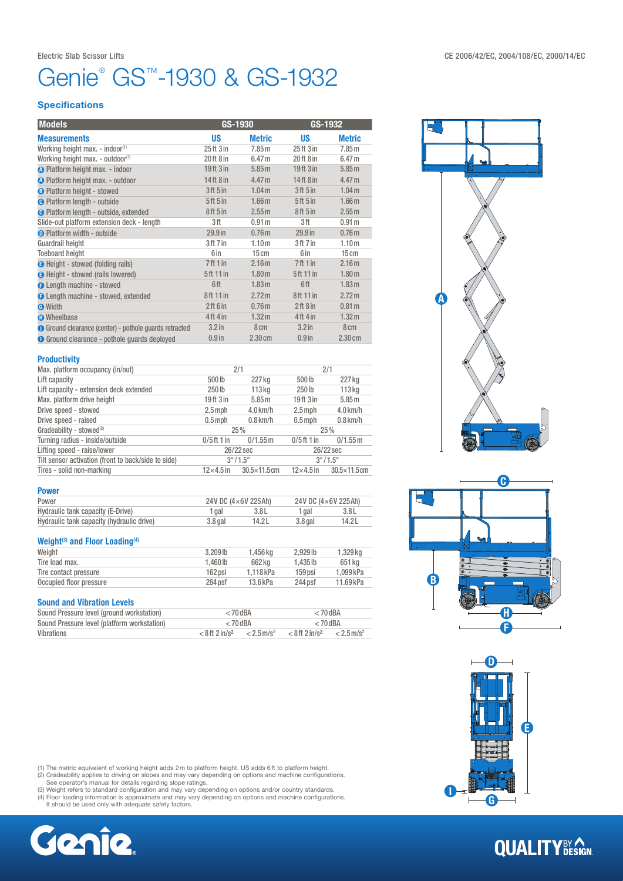# Genie® GS™-1930 & GS-1932

### **Specifications**

| <b>Models</b>                                          | GS-1930              |                   | GS-1932           |                   |
|--------------------------------------------------------|----------------------|-------------------|-------------------|-------------------|
| <b>Measurements</b>                                    | US                   | <b>Metric</b>     | <b>US</b>         | <b>Metric</b>     |
| Working height max. - indoor <sup>(1)</sup>            | $25$ ft $3$ in       | 7.85 m            | 25ft3in           | 7.85 <sub>m</sub> |
| Working height max. - outdoor <sup>(1)</sup>           | 20 ft 8 in           | 6.47 <sub>m</sub> | 20ft 8 in         | 6.47 <sub>m</sub> |
| <b>A</b> Platform height max. - indoor                 | $19$ ft $3$ in       | 5.85 m            | $19$ ft $3$ in    | 5.85 m            |
| <b>A</b> Platform height max. - outdoor                | $14$ ft $8$ in       | 4.47 <sub>m</sub> | $14$ ft $8$ in    | 4.47 <sub>m</sub> |
| <b>B</b> Platform height - stowed                      | 3ft 5in              | 1.04 <sub>m</sub> | 3ft 5in           | 1.04 <sub>m</sub> |
| <b>O</b> Platform length - outside                     | 5ft 5in              | 1.66 <sub>m</sub> | 5ft 5in           | 1.66 <sub>m</sub> |
| <b>O</b> Platform length - outside, extended           | 8ft 5 in             | 2.55 m            | 8ft 5in           | 2.55 <sub>m</sub> |
| Slide-out platform extension deck - length             | 3 ft                 | 0.91 <sub>m</sub> | 3ft               | 0.91 <sub>m</sub> |
| <b>O</b> Platform width - outside                      | 29.9 <sub>in</sub>   | 0.76 <sub>m</sub> | $29.9$ in         | 0.76 <sub>m</sub> |
| Guardrail height                                       | 3ft 7 in             | 1.10 <sub>m</sub> | 3ft 7in           | 1.10 <sub>m</sub> |
| <b>Toeboard height</b>                                 | 6 in                 | 15cm              | 6 in              | 15cm              |
| <b>B</b> Height - stowed (folding rails)               | 7 <sup>ft</sup> 1 in | 2.16 <sub>m</sub> | 7ft1in            | 2.16 <sub>m</sub> |
| <b>O</b> Height - stowed (rails lowered)               | 5ft 11 in            | 1.80 <sub>m</sub> | 5ft 11 in         | 1.80 <sub>m</sub> |
| <b>O</b> Length machine - stowed                       | 6ft                  | 1.83 <sub>m</sub> | 6ft               | 1.83 <sub>m</sub> |
| <b>O</b> Length machine - stowed, extended             | 8ft 11 in            | 2.72 m            | 8ft 11 in         | 2.72 m            |
| <b>O</b> Width                                         | 2ft 6 in             | 0.76 <sub>m</sub> | 2ft8in            | 0.81 <sub>m</sub> |
| <b>O</b> Wheelbase                                     | 4ft 4 in             | 1.32 <sub>m</sub> | 4ft 4in           | 1.32 <sub>m</sub> |
| ● Ground clearance (center) - pothole guards retracted | 3.2 <sub>in</sub>    | 8 <sub>cm</sub>   | 3.2 <sub>in</sub> | 8 <sub>cm</sub>   |
| <b>O</b> Ground clearance - pothole guards deployed    | $0.9$ in             | $2.30 \text{ cm}$ | $0.9$ in          | $2.30 \text{ cm}$ |

#### **Productivity**

| Max. platform occupancy (in/out)                    |                        | 2/1                     |                                  | 2/1                     |  |
|-----------------------------------------------------|------------------------|-------------------------|----------------------------------|-------------------------|--|
| Lift capacity                                       | 500 <sub>lb</sub>      | 227 kg                  | 500 lb                           | 227 kg                  |  |
| Lift capacity - extension deck extended             | 250 <sub>Ib</sub>      | 113 <sub>kq</sub>       | 250 lb                           | 113 <sub>kg</sub>       |  |
| Max. platform drive height                          | $19$ ft $3$ in         | 5.85 m                  | 19 <sup>ft</sup> 3 <sup>in</sup> | 5.85 m                  |  |
| Drive speed - stowed                                | $2.5$ mph              | $4.0$ km/h              | $2.5$ mph                        | $4.0$ km/h              |  |
| Drive speed - raised                                | $0.5$ mph              | $0.8$ km/h              | $0.5$ mph                        | $0.8$ km/h              |  |
| Gradeability - stowed <sup>(2)</sup>                |                        | 25%                     |                                  | 25%                     |  |
| Turning radius - inside/outside                     | $0/5$ ft 1 in          | $0/1.55$ m              | $0/5$ ft 1 in                    | $0/1.55$ m              |  |
| Lifting speed - raise/lower                         | 26/22 sec<br>26/22 sec |                         |                                  |                         |  |
| Tilt sensor activation (front to back/side to side) |                        | $3^{\circ}/1.5^{\circ}$ |                                  | $3^{\circ}/1.5^{\circ}$ |  |
| Tires - solid non-marking                           | $12\times 4.5$ in      | $30.5 \times 11.5$ cm   | $12\times4.5$ in                 | $30.5 \times 11.5$ cm   |  |

### Power

| Power                                     | 24V DC $(4\times6V)$ 225 Ah) |        | 24V DC (4×6V 225Ah) |       |
|-------------------------------------------|------------------------------|--------|---------------------|-------|
| Hydraulic tank capacity (E-Drive)         | gal                          | 3.8L   | 1 gal               | 3.8L  |
| Hydraulic tank capacity (hydraulic drive) | $3.8$ gal                    | 14.2 L | $3.8$ gal           | 14.2L |

### Weight<sup>(3)</sup> and Floor Loading<sup>(4)</sup>

| Weight                  | $3.209$ lb | 1.456 ka  | $2.929$ lb | 1.329 ka  |
|-------------------------|------------|-----------|------------|-----------|
| Tire load max.          | 1.460 lb   | 662 kg    | 1.435 lb   | 651 kg    |
| Tire contact pressure   | 162 psi    | 1.118 kPa | 159 psi    | 1.099 kPa |
| Occupied floor pressure | 284 psf    | 13.6 kPa  | 244 psf    | 11.69 kPa |
|                         |            |           |            |           |

### Sound and Vibration Levels

| Sound Pressure level (ground workstation)   | $<$ 70 dBA                   |                          | $< 70$ dBA                   |                          |
|---------------------------------------------|------------------------------|--------------------------|------------------------------|--------------------------|
| Sound Pressure level (platform workstation) | $<$ 70 dBA                   |                          | $<$ 70 dBA                   |                          |
| Vibrations                                  | $< 8$ ft 2 in/s <sup>2</sup> | $< 2.5$ m/s <sup>2</sup> | $< 8$ ft 2 in/s <sup>2</sup> | $< 2.5$ m/s <sup>2</sup> |



(1) The metric equivalent of working height adds 2m to platform height. US adds 6ft to platform height.<br>(2) Gradeability applies to driving on slopes and may vary depending on options and machine configurations.<br>(3) Weight









# **QUALITY**BY CON